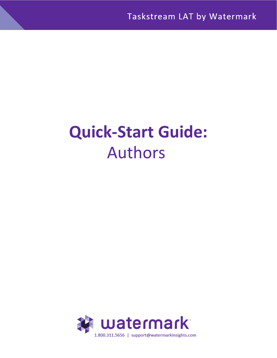# **Quick-Start Guide:** Authors

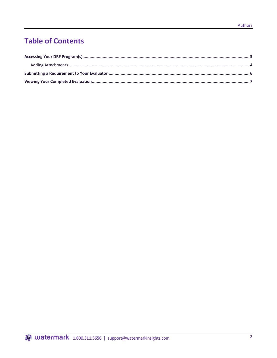## **Table of Contents**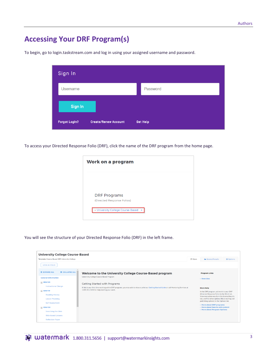## <span id="page-2-0"></span>**Accessing Your DRF Program(s)**

| Sign In              |                             |                 |
|----------------------|-----------------------------|-----------------|
| Username             |                             | Password        |
| Sign In              |                             |                 |
| <b>Forgot Login?</b> | <b>Create/Renew Account</b> | <b>Get Help</b> |

To begin, go to [login.taskstream.com a](http://www.taskstream.com/)nd log in using your assigned username and password.

To access your Directed Response Folio (DRF), click the name of the DRF program from the home page.

| <b>Work on a program</b>            |  |  |  |  |
|-------------------------------------|--|--|--|--|
|                                     |  |  |  |  |
|                                     |  |  |  |  |
| <b>DRF Programs</b>                 |  |  |  |  |
| (Directed Response Folios)          |  |  |  |  |
| - University College Course-Based » |  |  |  |  |
|                                     |  |  |  |  |

You will see the structure of your Directed Response Folio (DRF) in the left frame.

| <b>University College Course-Based</b>                                                         |                                                                                                                                               |                      |                                                                                                                                                                                                                                       |                  |  |  |  |  |
|------------------------------------------------------------------------------------------------|-----------------------------------------------------------------------------------------------------------------------------------------------|----------------------|---------------------------------------------------------------------------------------------------------------------------------------------------------------------------------------------------------------------------------------|------------------|--|--|--|--|
| Template: Course-Based DRF University College                                                  |                                                                                                                                               |                      | <b>A</b> Scores/Results                                                                                                                                                                                                               | $\equiv$ Options |  |  |  |  |
| <b>VIEW AS FOLIO</b>                                                                           |                                                                                                                                               |                      |                                                                                                                                                                                                                                       |                  |  |  |  |  |
| <b>COLLAPSE ALL</b><br><b>C EXPAND ALL</b>                                                     | Welcome to the University College Course-Based program                                                                                        | <b>Program Links</b> |                                                                                                                                                                                                                                       |                  |  |  |  |  |
| <b>General Information</b>                                                                     | University College Course-Based Program                                                                                                       |                      | · Overview                                                                                                                                                                                                                            |                  |  |  |  |  |
| $\equiv$ EDU 101                                                                               | <b>Getting Started with Programs</b>                                                                                                          |                      |                                                                                                                                                                                                                                       |                  |  |  |  |  |
| <b>Instructional Design</b>                                                                    | If this is your first time working within DRF programs, you may wish to view or print our Getting Started Guide or call Mentoring Services at |                      | <b>More Help</b>                                                                                                                                                                                                                      |                  |  |  |  |  |
| $\equiv$ EDU 119<br><b>Reading History</b><br><b>Lesson Planning</b><br><b>Self Assessment</b> | 1.800.311.5656 for help starting your work.                                                                                                   |                      | In the DRF program, add work to your DRF<br>(Directed Response Folio) in the Work tab.<br>View evaluation results in the Scores/Results<br>tab, and find other options (like e-mailing and<br>publishing options) in the Options tab. |                  |  |  |  |  |
| $=$ EDU 132<br>Searching the Web                                                               |                                                                                                                                               |                      | • More about DRF programs<br>• More about how to add content<br>• More about Program Options                                                                                                                                          |                  |  |  |  |  |
| Web-based Lessons<br><b>Reflection Paper</b>                                                   |                                                                                                                                               |                      |                                                                                                                                                                                                                                       |                  |  |  |  |  |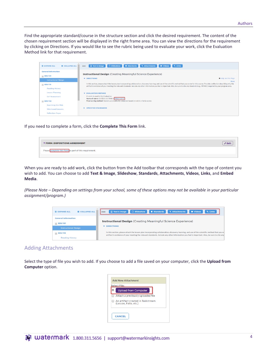Find the appropriate standard/course in the structure section and click the desired requirement. The content of the chosen requirement section will be displayed in the right frame area. You can view the directions for the requirement by clicking on Directions. If you would like to see the rubric being used to evaluate your work, click the Evaluation Method link for that requirement.

| <b>COLLAPSE ALL</b><br><b>DEXPAND ALL</b>                                | Slideshow<br><b>R</b> Text & Image<br><b>O</b> Standards<br><b>&amp; Attachments</b><br>% Links<br><b>BI</b> Videos<br>Add:                                                                                                                                                                                                                                                                                              |
|--------------------------------------------------------------------------|--------------------------------------------------------------------------------------------------------------------------------------------------------------------------------------------------------------------------------------------------------------------------------------------------------------------------------------------------------------------------------------------------------------------------|
| <b>General Information</b><br>$=$ EDU 101<br><b>Instructional Design</b> | <b>Instructional Design</b> (Creating Meaningful Science Experience)<br><b>O</b> Help on this Page<br>$\blacktriangledown$ DIRECTIONS                                                                                                                                                                                                                                                                                    |
| $=$ EDU 119<br><b>Reading History</b>                                    | Print<br>In this section, please attach the lesson plan incorporating collaboration, discovery learning, and use of the scientific method that you wrote for this course. Provide a reflection describing why the<br>artifact is evidence of your meeting the relevant standards. Include any other information you feel is important. Also, be sure to cite any standards (e.g., INTASC) required by your program area. |
| <b>Lesson Planning</b><br><b>Self Assessment</b><br>$=$ EDU 132          | <b>EVALUATION METHOD</b><br>A rubric is used in this Evaluation.<br>Name of rubric: 01 EDU 101 TASK 2 [View rubric]<br>Final scoring method: Score is automatically computed based on rubric criteria scores                                                                                                                                                                                                             |
| Searching the Web<br><b>Web-based Lessons</b><br><b>Reflection Paper</b> | <b>SPECIFIED STANDARDS</b>                                                                                                                                                                                                                                                                                                                                                                                               |

If you need to complete a form, click the **Complete This Form** link.

| ▼ FORM: DISPOSITIONS ASSESSMENT                        | $*$ Edit |
|--------------------------------------------------------|----------|
| Please complete this form as part of this requirement. |          |
|                                                        |          |

When you are ready to add work, click the button from the Add toolbar that corresponds with the type of content you wish to add. You can choose to add **Text & Image**, **Slideshow**, **Standards**, **Attachments**, **Videos**, **Links**, and **Embed Media**.

*(Please Note – Depending on settings from your school, some of these options may not be available in your particular assignment/program.)*



#### <span id="page-3-0"></span>Adding Attachments

Select the type of file you wish to add. If you choose to add a file saved on your computer, click the **Upload from Computer** option.

| <b>Upload from Computer</b>                                |
|------------------------------------------------------------|
| Attach a previously uploaded file                          |
| An artifact created in Taskstream<br>(Lesson, Folio, etc.) |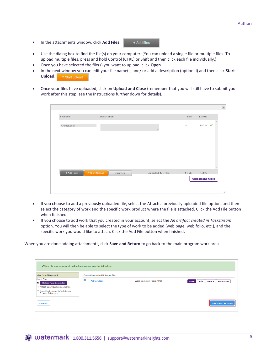• In the attachments window, click **Add Files**.

+ Add files

- Use the dialog box to find the file(s) on your computer. (You can upload a single file or multiple files. To upload multiple files, press and hold Control (CTRL) or Shift and then click each file individually.)
- Once you have selected the file(s) you want to upload, click **Open**.
- In the next window you can edit your file name(s) and/ or add a description (optional) and then click **Start Upload**. 1 Start upload
- Once your files have uploaded, click on **Upload and Close** (remember that you will still have to submit your work after this step; see the instructions further down for details).

| Filename                                 | Description |                    | Size   | <b>Status</b>           |  |
|------------------------------------------|-------------|--------------------|--------|-------------------------|--|
| Artifact.docx                            |             | ä.                 | 11 k b | $100\%$                 |  |
|                                          |             |                    |        |                         |  |
|                                          |             |                    |        |                         |  |
|                                          |             |                    |        |                         |  |
| + Add Files<br><sup>↑</sup> Start Upload | Clear List  | Uploaded 1/1 files | 11kb   | 100%                    |  |
|                                          |             |                    |        | <b>Upload and Close</b> |  |
|                                          |             |                    |        |                         |  |

- If you choose to add a previously uploaded file, select the Attach a previously uploaded file option, and then select the category of work and the specific work product where the file is attached. Click the Add File button when finished.
- If you choose to add work that you created in your account, select the *An artifact created in Taskstream* option. You will then be able to select the type of work to be added (web page, web folio, etc.), and the specific work you would like to attach. Click the Add File button when finished.

When you are done adding attachments, click **Save and Return** to go back to the main program work area.

| ◆ Your file was successfully added and appears on the list below.                                              |                                          |                                 |                                                   |  |  |  |
|----------------------------------------------------------------------------------------------------------------|------------------------------------------|---------------------------------|---------------------------------------------------|--|--|--|
| <b>Add New Attachment</b>                                                                                      | <b>Currently Attached Uploaded Files</b> |                                 |                                                   |  |  |  |
| <b>Select File:</b><br>$\bullet$<br><b>Upload from Computer</b><br>$\bigcap$ Attach a previously uploaded file | 國<br>Artifact.docx                       | <b>Word Document (Open XML)</b> | Edit<br><b>Standards</b><br>View<br><b>Delete</b> |  |  |  |
| ◯ An artifact created in Taskstream<br>(Lesson, Folio, etc.)                                                   |                                          |                                 |                                                   |  |  |  |
| <b>CANCEL</b>                                                                                                  |                                          |                                 | <b>SAVE AND RETURN</b>                            |  |  |  |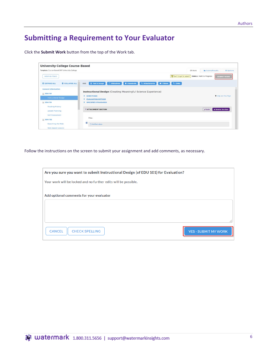## <span id="page-5-0"></span>**Submitting a Requirement to Your Evaluator**

Click the **Submit Work** button from the top of the Work tab.

| <b>University College Course-Based</b>                                                                                                      |                                                                                                                                                                                                          |                                                                  |                                                                   |
|---------------------------------------------------------------------------------------------------------------------------------------------|----------------------------------------------------------------------------------------------------------------------------------------------------------------------------------------------------------|------------------------------------------------------------------|-------------------------------------------------------------------|
| Template: Course-Based DRF University College<br><b>VIEW AS FOLIO</b>                                                                       |                                                                                                                                                                                                          | & Work<br>Of Don't forget to submitt<br>Status: Work in Progress | <b>A</b> Scores/Results<br>$\equiv$ Options<br><b>SUBMIT WORK</b> |
| $\hat{\phantom{a}}$<br>COLLAPSE ALL<br><b>C EXPAND ALL</b><br><b>General Information</b><br>$\equiv$ EDU 101<br><b>Instructional Design</b> | Text & Image<br>Slideshow<br><b>O</b> Standards<br>Add:<br><b>&amp; Attachments</b><br><b>N</b> Videos<br><b>Instructional Design (Creating Meaningful Science Experience)</b><br><b>DIRECTIONS</b><br>ь | % Links                                                          | <b>O</b> Help on this Page                                        |
| $\Box$ EDU 119<br><b>Reading History</b>                                                                                                    | <b>EVALUATION METHOD</b><br><b>SPECIFIED STANDARDS</b>                                                                                                                                                   |                                                                  |                                                                   |
| Lesson Planning<br><b>Self Assessment</b>                                                                                                   | <b>* ATTACHMENT SECTION</b><br>Files:                                                                                                                                                                    | $Z$ Edit                                                         | <b>X</b> Delete Section                                           |
| $\equiv$ EDU 132<br>Searching the Web<br>Web-based Lessons                                                                                  | 쁴<br>Artifact.docx                                                                                                                                                                                       |                                                                  |                                                                   |

Follow the instructions on the screen to submit your assignment and add comments, as necessary.

| Are you sure you want to submit Instructional Design (of EDU 101) for Evaluation? |                             |
|-----------------------------------------------------------------------------------|-----------------------------|
| Your work will be locked and no further edits will be possible.                   |                             |
| Add optional comments for your evaluator                                          |                             |
|                                                                                   |                             |
|                                                                                   |                             |
|                                                                                   | $-11$                       |
| <b>CANCEL</b><br><b>CHECK SPELLING</b>                                            | <b>YES - SUBMIT MY WORK</b> |